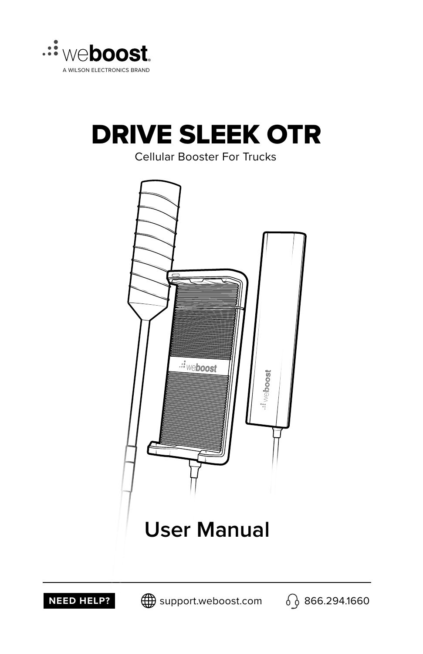

### DRIVE SLEEK OTR

Cellular Booster For Trucks





**NEED HELP?**  $\bigoplus$  support.weboost.com  $\bigodot$  866.294.1660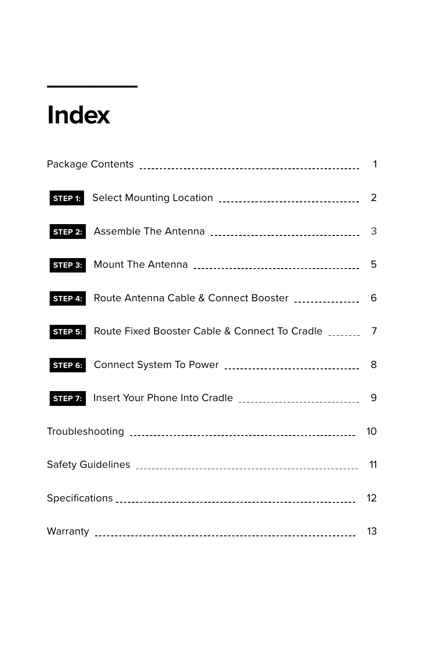## **Index**

**\_\_\_\_\_\_**

| STEP 1: |                                                                           |  |  |  |  |
|---------|---------------------------------------------------------------------------|--|--|--|--|
|         |                                                                           |  |  |  |  |
|         |                                                                           |  |  |  |  |
|         | STEP 4: Route Antenna Cable & Connect Booster ________________ 6          |  |  |  |  |
|         | STEP 5: Route Fixed Booster Cable & Connect To Cradle _________ 7         |  |  |  |  |
|         |                                                                           |  |  |  |  |
|         | STEP 7: Insert Your Phone Into Cradle [111] [11] 11] 12-11-12-12-20-20-20 |  |  |  |  |
|         |                                                                           |  |  |  |  |
|         |                                                                           |  |  |  |  |
|         |                                                                           |  |  |  |  |
|         |                                                                           |  |  |  |  |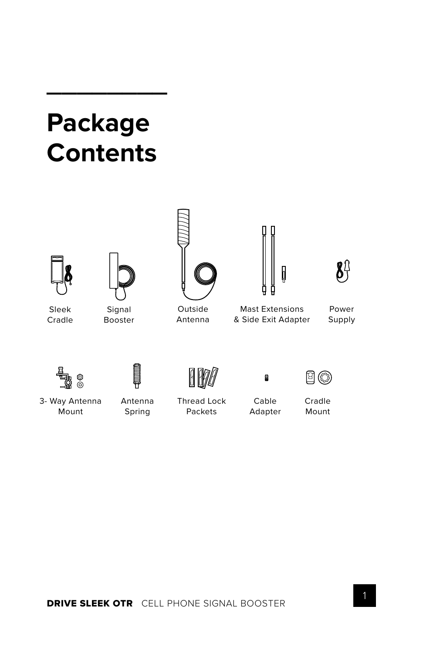### **Package Contents**

**\_\_\_\_\_\_\_\_**





Sleek Cradle

Signal Booster



Outside Antenna

h



Mast Extensions & Side Exit Adapter

Power Supply



A





3- Way Antenna Mount

Antenna Spring

Thread Lock Packets

Cable Adapter

Cradle Mount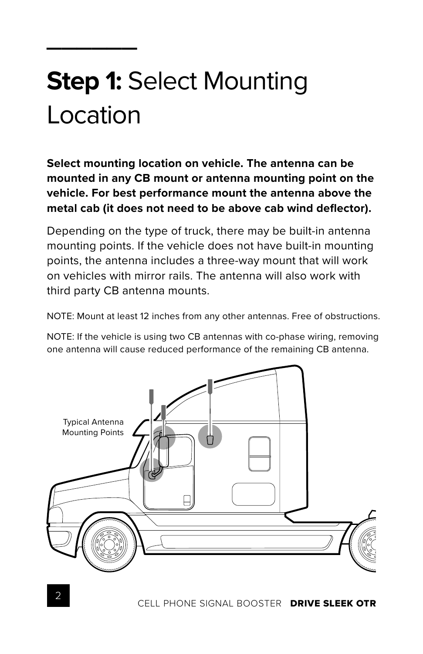# **Step 1:** Select Mounting Location

**\_\_\_\_\_\_**

**Select mounting location on vehicle. The antenna can be mounted in any CB mount or antenna mounting point on the vehicle. For best performance mount the antenna above the**  metal cab (it does not need to be above cab wind deflector).

Depending on the type of truck, there may be built-in antenna mounting points. If the vehicle does not have built-in mounting points, the antenna includes a three-way mount that will work on vehicles with mirror rails. The antenna will also work with third party CB antenna mounts.

NOTE: Mount at least 12 inches from any other antennas. Free of obstructions.

NOTE: If the vehicle is using two CB antennas with co-phase wiring, removing one antenna will cause reduced performance of the remaining CB antenna.

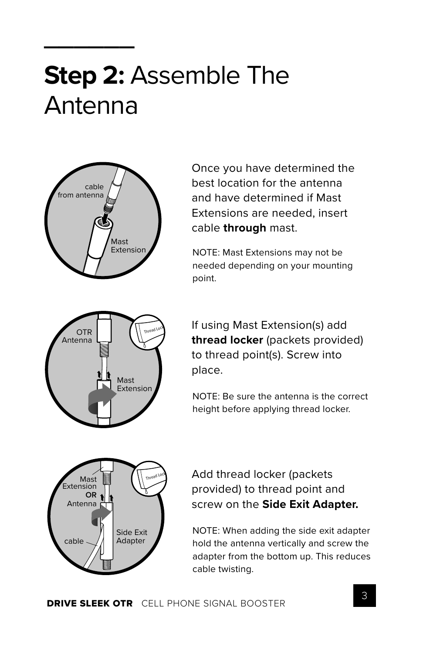## **Step 2:** Assemble The Antenna



**\_\_\_\_\_\_**

Once you have determined the best location for the antenna and have determined if Mast Extensions are needed, insert cable **through** mast.

NOTE: Mast Extensions may not be needed depending on your mounting point.



If using Mast Extension(s) add **thread locker** (packets provided) to thread point(s). Screw into place.

NOTE: Be sure the antenna is the correct height before applying thread locker.



Add thread locker (packets provided) to thread point and screw on the **Side Exit Adapter.**

NOTE: When adding the side exit adapter hold the antenna vertically and screw the adapter from the bottom up. This reduces cable twisting.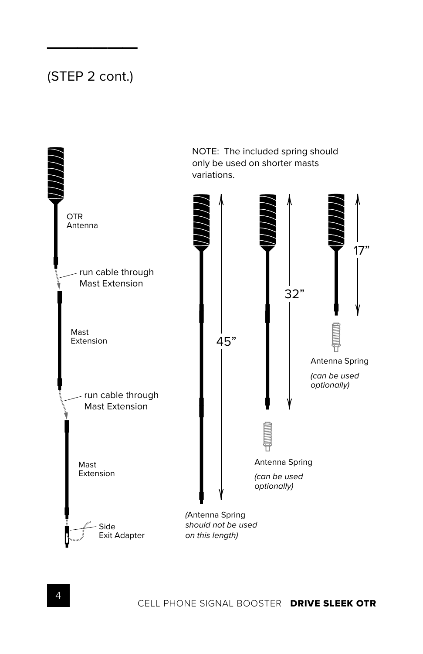#### (STEP 2 cont.)

**\_\_\_\_\_\_**

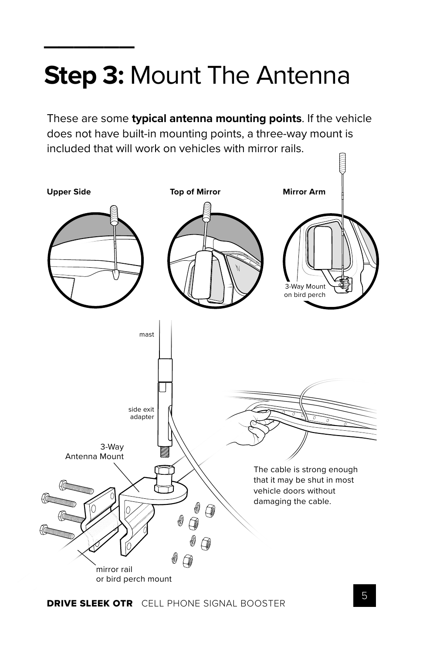# **Step 3:** Mount The Antenna

**\_\_\_\_\_\_**

These are some **typical antenna mounting points**. If the vehicle does not have built-in mounting points, a three-way mount is included that will work on vehicles with mirror rails.

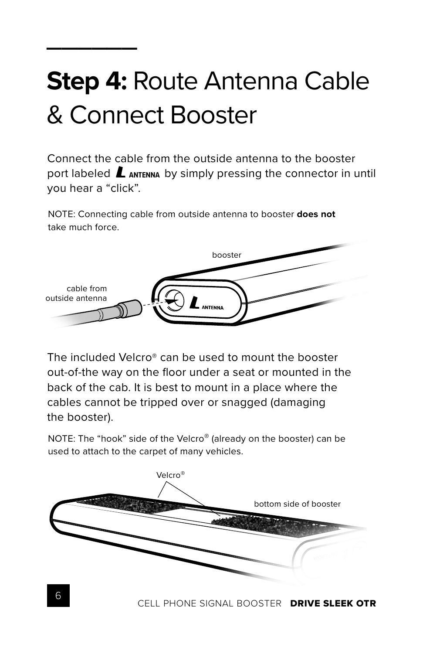# **Step 4:** Route Antenna Cable & Connect Booster

**\_\_\_\_\_\_**

Connect the cable from the outside antenna to the booster port labeled  $\mathbf L$  **ANTENNA** by simply pressing the connector in until you hear a "click".

NOTE: Connecting cable from outside antenna to booster **does not** take much force.



The included Velcro® can be used to mount the booster out-of-the way on the floor under a seat or mounted in the back of the cab. It is best to mount in a place where the cables cannot be tripped over or snagged (damaging the booster).

NOTE: The "hook" side of the Velcro® (already on the booster) can be used to attach to the carpet of many vehicles.

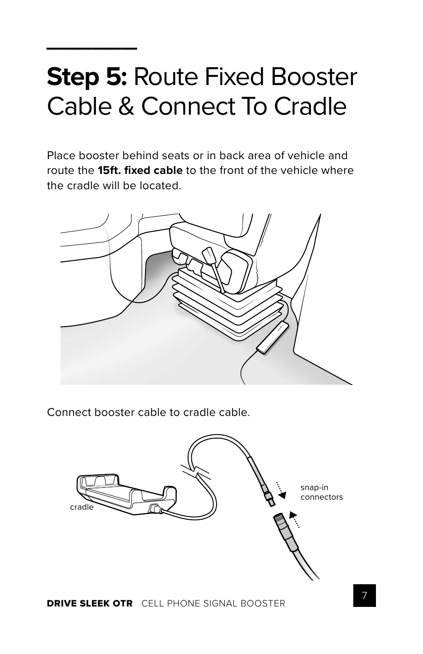## **Step 5:** Route Fixed Booster Cable & Connect To Cradle

**\_\_\_\_\_\_**

Place booster behind seats or in back area of vehicle and route the **15ft. fi xed cable** to the front of the vehicle where the cradle will be located.



Connect booster cable to cradle cable.

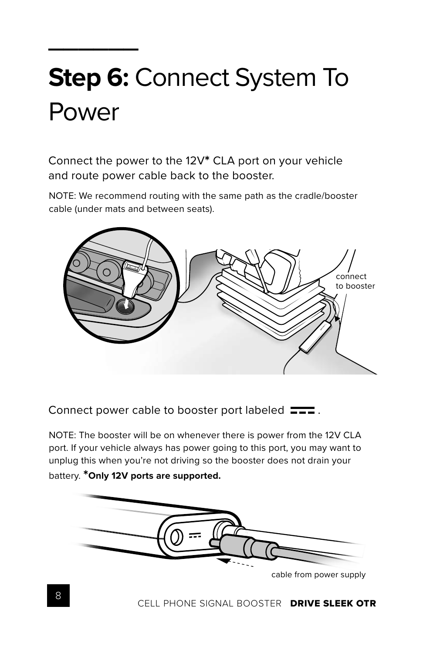# **Step 6:** Connect System To Power

**\_\_\_\_\_\_**

Connect the power to the 12V**\*** CLA port on your vehicle and route power cable back to the booster.

NOTE: We recommend routing with the same path as the cradle/booster cable (under mats and between seats).



Connect power cable to booster port labeled  $\equiv \equiv$ .

NOTE: The booster will be on whenever there is power from the 12V CLA port. If your vehicle always has power going to this port, you may want to unplug this when you're not driving so the booster does not drain your battery. **\*Only 12V ports are supported.**



cable from power supply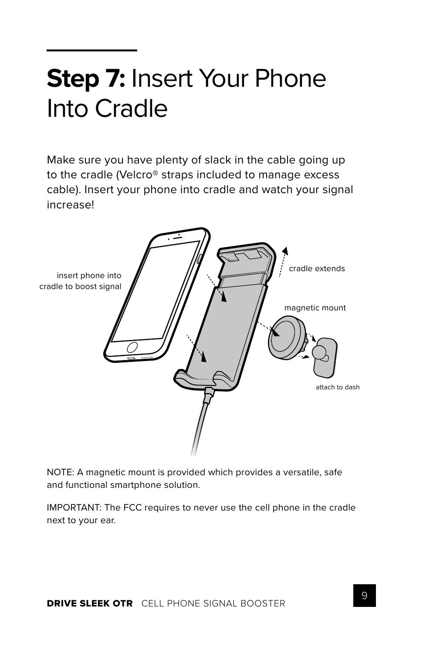## **Step 7:** Insert Your Phone Into Cradle

**\_\_\_\_\_\_**

Make sure you have plenty of slack in the cable going up to the cradle (Velcro® straps included to manage excess cable). Insert your phone into cradle and watch your signal increase!



NOTE: A magnetic mount is provided which provides a versatile, safe and functional smartphone solution.

IMPORTANT: The FCC requires to never use the cell phone in the cradle next to your ear.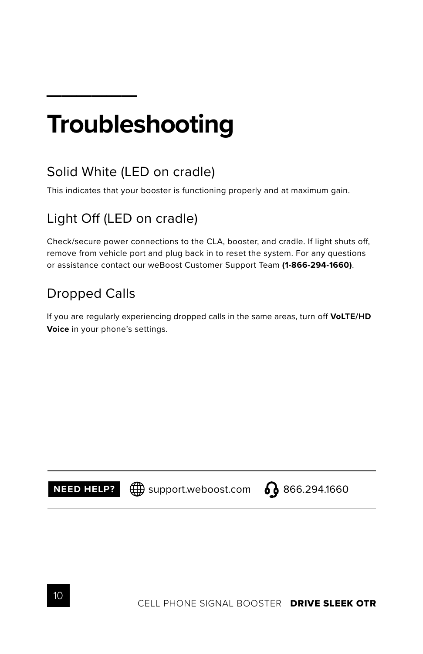## **Troubleshooting**

#### Solid White (LED on cradle)

This indicates that your booster is functioning properly and at maximum gain.

#### Light Off (LED on cradle)

Check/secure power connections to the CLA, booster, and cradle. If light shuts off, remove from vehicle port and plug back in to reset the system. For any questions or assistance contact our weBoost Customer Support Team **(1-866-294-1660)**.

#### Dropped Calls

**\_\_\_\_\_\_**

If you are regularly experiencing dropped calls in the same areas, turn off **VoLTE/HD Voice** in your phone's settings.

**NEED HELP?**  $\bigoplus$  support.weboost.com  $\bigodot$  866.294.1660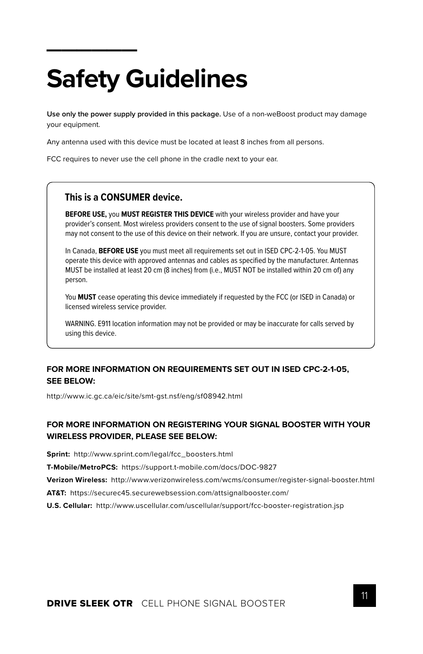# **Safety Guidelines**

**\_\_\_\_\_\_**

**Use only the power supply provided in this package.** Use of a non-weBoost product may damage your equipment.

Any antenna used with this device must be located at least 8 inches from all persons.

FCC requires to never use the cell phone in the cradle next to your ear.

#### **This is a CONSUMER device.**

**BEFORE USE,** you **MUST REGISTER THIS DEVICE** with your wireless provider and have your provider's consent. Most wireless providers consent to the use of signal boosters. Some providers may not consent to the use of this device on their network. If you are unsure, contact your provider.

In Canada, **BEFORE USE** you must meet all requirements set out in ISED CPC-2-1-05. You MUST operate this device with approved antennas and cables as specified by the manufacturer. Antennas MUST be installed at least 20 cm (8 inches) from (i.e., MUST NOT be installed within 20 cm of) any person.

You **MUST** cease operating this device immediately if requested by the FCC (or ISED in Canada) or licensed wireless service provider.

WARNING. E911 location information may not be provided or may be inaccurate for calls served by using this device.

#### **FOR MORE INFORMATION ON REQUIREMENTS SET OUT IN ISED CPC-2-1-05, SEE BELOW:**

http://www.ic.gc.ca/eic/site/smt-gst.nsf/eng/sf08942.html

#### **FOR MORE INFORMATION ON REGISTERING YOUR SIGNAL BOOSTER WITH YOUR WIRELESS PROVIDER, PLEASE SEE BELOW:**

**Sprint:** http://www.sprint.com/legal/fcc\_boosters.html

**T-Mobile/MetroPCS:** https://support.t-mobile.com/docs/DOC-9827

**Verizon Wireless:** http://www.verizonwireless.com/wcms/consumer/register-signal-booster.html

**AT&T:** https://securec45.securewebsession.com/attsignalbooster.com/

**U.S. Cellular:** http://www.uscellular.com/uscellular/support/fcc-booster-registration.jsp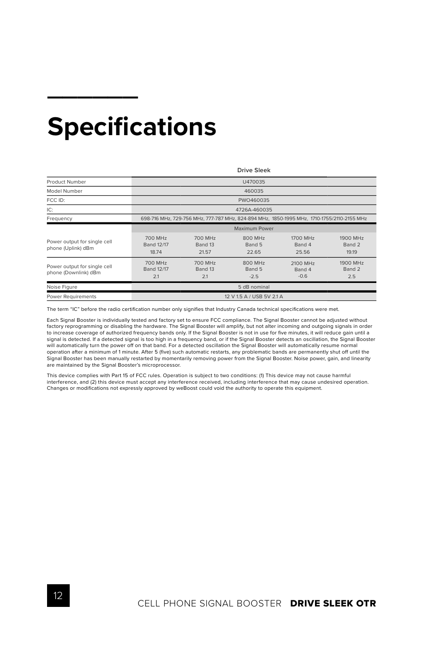#### **Specifications**

**\_\_\_\_\_\_**

|                                                                                                         | Drive Sleek                           |                             |                             |                              |                             |  |
|---------------------------------------------------------------------------------------------------------|---------------------------------------|-----------------------------|-----------------------------|------------------------------|-----------------------------|--|
| Product Number                                                                                          | U470035                               |                             |                             |                              |                             |  |
| Model Number                                                                                            | 460035                                |                             |                             |                              |                             |  |
| FCC ID:                                                                                                 | PWO460035                             |                             |                             |                              |                             |  |
| IC:                                                                                                     | 4726A-460035                          |                             |                             |                              |                             |  |
| 698-716 MHz, 729-756 MHz, 777-787 MHz, 824-894 MHz, 1850-1995 MHz, 1710-1755/2110-2155 MHz<br>Frequency |                                       |                             |                             |                              |                             |  |
|                                                                                                         | Maximum Power                         |                             |                             |                              |                             |  |
| Power output for single cell<br>phone (Uplink) dBm                                                      | 700 MHz<br><b>Band 12/17</b><br>18.74 | 700 MHz<br>Band 13<br>21.57 | 800 MHz<br>Band 5<br>22.65  | 1700 MHz<br>Band 4<br>25.56  | 1900 MHz<br>Band 2<br>19.19 |  |
| Power output for single cell<br>phone (Downlink) dBm                                                    | 700 MHz<br><b>Band 12/17</b><br>2.1   | 700 MHz<br>Band 13<br>2.1   | 800 MHz<br>Band 5<br>$-2.5$ | 2100 MHz<br>Band 4<br>$-0.6$ | 1900 MHz<br>Band 2<br>2.5   |  |
| Noise Figure                                                                                            | 5 dB nominal                          |                             |                             |                              |                             |  |
| Power Requirements                                                                                      | 12 V 1.5 A / USB 5V 2.1 A             |                             |                             |                              |                             |  |

The term "IC" before the radio certification number only signifies that Industry Canada technical specifications were met.

Each Signal Booster is individually tested and factory set to ensure FCC compliance. The Signal Booster cannot be adjusted without factory reprogramming or disabling the hardware. The Signal Booster will amplify, but not alter incoming and outgoing signals in order to increase coverage of authorized frequency bands only. If the Signal Booster is not in use for five minutes, it will reduce gain until a signal is detected. If a detected signal is too high in a frequency band, or if the Signal Booster detects an oscillation, the Signal Booster will automatically turn the power off on that band. For a detected oscillation the Signal Booster will automatically resume normal operation after a minimum of 1 minute. After 5 (five) such automatic restarts, any problematic bands are permanently shut off until the Signal Booster has been manually restarted by momentarily removing power from the Signal Booster. Noise power, gain, and linearity are maintained by the Signal Booster's microprocessor.

This device complies with Part 15 of FCC rules. Operation is subject to two conditions: (1) This device may not cause harmful interference, and (2) this device must accept any interference received, including interference that may cause undesired operation.<br>Changes or modifications not expressly approved by weBoost could void the authority to ope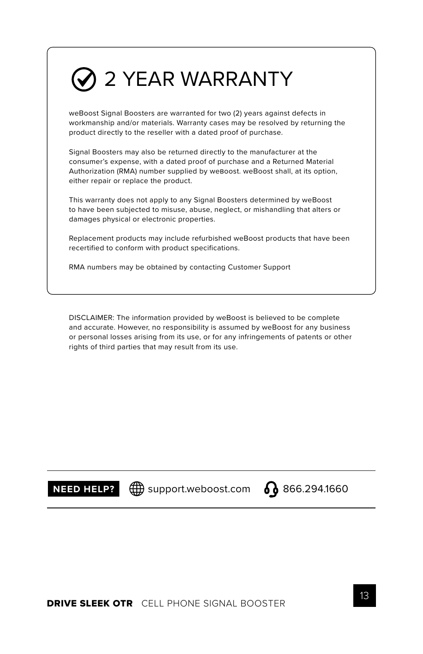#### $\oslash$  2 YEAR WARRANTY

weBoost Signal Boosters are warranted for two (2) years against defects in workmanship and/or materials. Warranty cases may be resolved by returning the product directly to the reseller with a dated proof of purchase.

Signal Boosters may also be returned directly to the manufacturer at the consumer's expense, with a dated proof of purchase and a Returned Material Authorization (RMA) number supplied by weBoost. weBoost shall, at its option, either repair or replace the product.

This warranty does not apply to any Signal Boosters determined by weBoost to have been subjected to misuse, abuse, neglect, or mishandling that alters or damages physical or electronic properties.

Replacement products may include refurbished weBoost products that have been recertified to conform with product specifications.

RMA numbers may be obtained by contacting Customer Support

DISCLAIMER: The information provided by weBoost is believed to be complete and accurate. However, no responsibility is assumed by weBoost for any business or personal losses arising from its use, or for any infringements of patents or other rights of third parties that may result from its use.

**NEED HELP?**  $\bigoplus$  support.weboost.com  $\bigodot$  866.294.1660